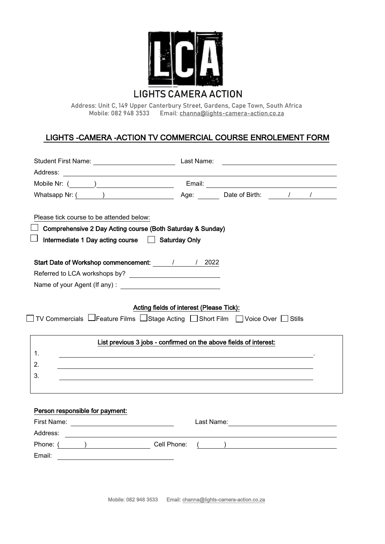

**Address: Unit C, 149 Upper Canterbury Street, Gardens, Cape Town, South Africa Mobile: 082 948 3533 Email: [channa@lights-camera-action.co.za](mailto:channa@lights-camera-action.co.za)** 

# LIGHTS -CAMERA -ACTION TV COMMERCIAL COURSE ENROLEMENT FORM

|                                                            | Mobile Nr: ( ) Email: Email:                                                                                                                                                          |
|------------------------------------------------------------|---------------------------------------------------------------------------------------------------------------------------------------------------------------------------------------|
| Whatsapp Nr: ( )                                           | Age: Date of Birth: / /                                                                                                                                                               |
| Please tick course to be attended below:                   |                                                                                                                                                                                       |
| Comprehensive 2 Day Acting course (Both Saturday & Sunday) |                                                                                                                                                                                       |
| Intermediate 1 Day acting course   Saturday Only           |                                                                                                                                                                                       |
| Start Date of Workshop commencement: 1 1 2022              |                                                                                                                                                                                       |
|                                                            |                                                                                                                                                                                       |
|                                                            |                                                                                                                                                                                       |
|                                                            | Acting fields of interest (Please Tick):                                                                                                                                              |
|                                                            | $\Box$ TV Commercials $\Box$ Feature Films $\Box$ Stage Acting $\Box$ Short Film $\Box$ Voice Over $\Box$ Stills<br>List previous 3 jobs - confirmed on the above fields of interest: |
| 1.                                                         | <u> 1989 - Johann Stoff, amerikansk politiker (* 1908)</u>                                                                                                                            |
| 2.                                                         |                                                                                                                                                                                       |
| 3.                                                         | <u> 1989 - Johann Stoff, deutscher Stoffen und der Stoffen und der Stoffen und der Stoffen und der Stoffen und der</u>                                                                |
|                                                            |                                                                                                                                                                                       |
| Person responsible for payment:                            |                                                                                                                                                                                       |
|                                                            |                                                                                                                                                                                       |
| Address:                                                   | <u> 1989 - Andrea Station Barbara (b. 1989)</u>                                                                                                                                       |
| Phone: ( ) Cell Phone:                                     | $\left(\begin{array}{cc} \frac{1}{2} & \frac{1}{2} \\ \frac{1}{2} & \frac{1}{2} \end{array}\right)$                                                                                   |

Mobile: 082 948 3533 Email: [channa@lights-camera-action.co.za](mailto:channa@lights-camera-action.co.za)